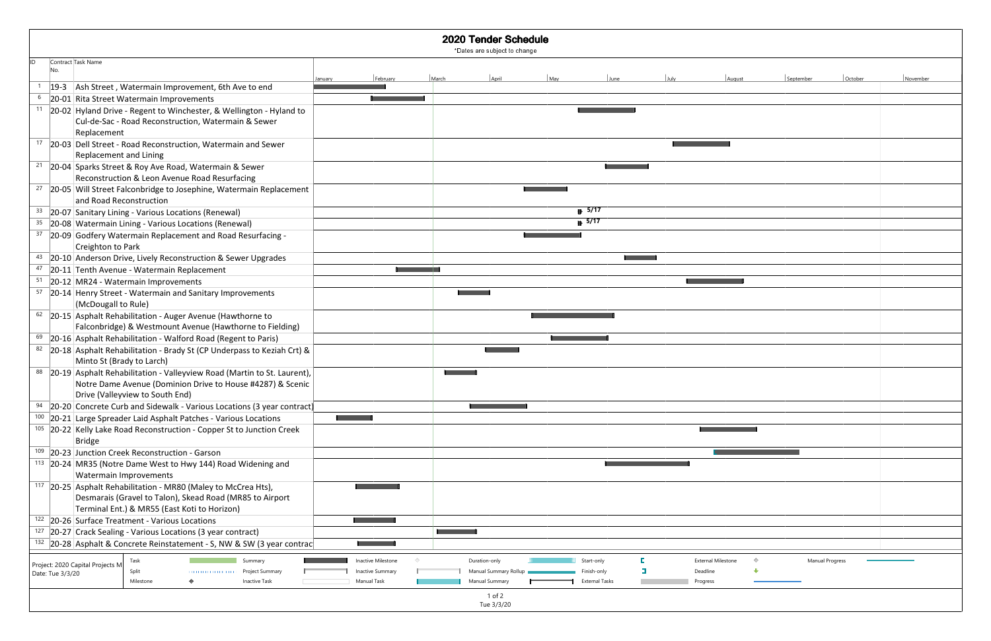| ID | Contract Task Name               |                                                                                                                            |                      |         |                         |       |                       |                              |                       |      |                           |           |                        |          |
|----|----------------------------------|----------------------------------------------------------------------------------------------------------------------------|----------------------|---------|-------------------------|-------|-----------------------|------------------------------|-----------------------|------|---------------------------|-----------|------------------------|----------|
|    |                                  |                                                                                                                            |                      | January | February                | March | April                 | May                          | June                  | July | August                    | September | October                | November |
|    |                                  | 19-3 Ash Street, Watermain Improvement, 6th Ave to end                                                                     |                      |         |                         |       |                       |                              |                       |      |                           |           |                        |          |
| 6  |                                  | 20-01 Rita Street Watermain Improvements                                                                                   |                      |         |                         |       |                       |                              |                       |      |                           |           |                        |          |
|    |                                  | <sup>11</sup> 20-02 Hyland Drive - Regent to Winchester, & Wellington - Hyland to                                          |                      |         |                         |       |                       |                              |                       |      |                           |           |                        |          |
|    |                                  | Cul-de-Sac - Road Reconstruction, Watermain & Sewer                                                                        |                      |         |                         |       |                       |                              |                       |      |                           |           |                        |          |
|    | Replacement                      |                                                                                                                            |                      |         |                         |       |                       |                              |                       |      |                           |           |                        |          |
|    |                                  | 17 20-03 Dell Street - Road Reconstruction, Watermain and Sewer                                                            |                      |         |                         |       |                       |                              |                       |      |                           |           |                        |          |
|    |                                  | Replacement and Lining                                                                                                     |                      |         |                         |       |                       |                              |                       |      |                           |           |                        |          |
|    |                                  | 21 20-04 Sparks Street & Roy Ave Road, Watermain & Sewer                                                                   |                      |         |                         |       |                       |                              |                       |      |                           |           |                        |          |
|    |                                  | Reconstruction & Leon Avenue Road Resurfacing                                                                              |                      |         |                         |       |                       |                              |                       |      |                           |           |                        |          |
|    |                                  | 27   20-05   Will Street Falconbridge to Josephine, Watermain Replacement                                                  |                      |         |                         |       |                       |                              |                       |      |                           |           |                        |          |
|    |                                  | and Road Reconstruction                                                                                                    |                      |         |                         |       |                       |                              |                       |      |                           |           |                        |          |
|    |                                  | 33 20-07 Sanitary Lining - Various Locations (Renewal)                                                                     |                      |         |                         |       |                       | $\overline{\mathbb{P}}$ 5/17 |                       |      |                           |           |                        |          |
| 35 |                                  | 20-08 Watermain Lining - Various Locations (Renewal)                                                                       |                      |         |                         |       |                       | $\mathbb{B}$ 5/17            |                       |      |                           |           |                        |          |
| 37 |                                  | 20-09 Godfery Watermain Replacement and Road Resurfacing -                                                                 |                      |         |                         |       |                       |                              |                       |      |                           |           |                        |          |
|    |                                  | Creighton to Park                                                                                                          |                      |         |                         |       |                       |                              |                       |      |                           |           |                        |          |
|    |                                  | 43 20-10 Anderson Drive, Lively Reconstruction & Sewer Upgrades                                                            |                      |         |                         |       |                       |                              |                       |      |                           |           |                        |          |
| 47 |                                  | 20-11 Tenth Avenue - Watermain Replacement                                                                                 |                      |         |                         |       |                       |                              |                       |      |                           |           |                        |          |
| 51 |                                  | 20-12 MR24 - Watermain Improvements                                                                                        |                      |         |                         |       |                       |                              |                       |      |                           |           |                        |          |
| 57 |                                  | 20-14 Henry Street - Watermain and Sanitary Improvements<br>(McDougall to Rule)                                            |                      |         |                         |       |                       |                              |                       |      |                           |           |                        |          |
|    |                                  | $62$ 20-15 Asphalt Rehabilitation - Auger Avenue (Hawthorne to<br>Falconbridge) & Westmount Avenue (Hawthorne to Fielding) |                      |         |                         |       |                       |                              |                       |      |                           |           |                        |          |
| 69 |                                  | 20-16 Asphalt Rehabilitation - Walford Road (Regent to Paris)                                                              |                      |         |                         |       |                       |                              |                       |      |                           |           |                        |          |
|    |                                  | 82 20-18 Asphalt Rehabilitation - Brady St (CP Underpass to Keziah Crt) &                                                  |                      |         |                         |       |                       |                              |                       |      |                           |           |                        |          |
|    |                                  | Minto St (Brady to Larch)                                                                                                  |                      |         |                         |       |                       |                              |                       |      |                           |           |                        |          |
|    |                                  | 88 20-19 Asphalt Rehabilitation - Valleyview Road (Martin to St. Laurent),                                                 |                      |         |                         |       |                       |                              |                       |      |                           |           |                        |          |
|    |                                  | Notre Dame Avenue (Dominion Drive to House #4287) & Scenic                                                                 |                      |         |                         |       |                       |                              |                       |      |                           |           |                        |          |
|    |                                  | Drive (Valleyview to South End)                                                                                            |                      |         |                         |       |                       |                              |                       |      |                           |           |                        |          |
|    |                                  | 20-20 Concrete Curb and Sidewalk - Various Locations (3 year contract)                                                     |                      |         |                         |       |                       |                              |                       |      |                           |           |                        |          |
|    |                                  | 100 20-21 Large Spreader Laid Asphalt Patches - Various Locations                                                          |                      |         |                         |       |                       |                              |                       |      |                           |           |                        |          |
|    |                                  | 105 20-22 Kelly Lake Road Reconstruction - Copper St to Junction Creek                                                     |                      |         |                         |       |                       |                              |                       |      |                           |           |                        |          |
|    | <b>Bridge</b>                    |                                                                                                                            |                      |         |                         |       |                       |                              |                       |      |                           |           |                        |          |
|    |                                  | 109 20-23 Junction Creek Reconstruction - Garson                                                                           |                      |         |                         |       |                       |                              |                       |      |                           |           |                        |          |
|    |                                  | <sup>113</sup> 20-24 MR35 (Notre Dame West to Hwy 144) Road Widening and                                                   |                      |         |                         |       |                       |                              |                       |      |                           |           |                        |          |
|    |                                  | Watermain Improvements                                                                                                     |                      |         |                         |       |                       |                              |                       |      |                           |           |                        |          |
|    |                                  | <sup>117</sup> 20-25 Asphalt Rehabilitation - MR80 (Maley to McCrea Hts),                                                  |                      |         |                         |       |                       |                              |                       |      |                           |           |                        |          |
|    |                                  | Desmarais (Gravel to Talon), Skead Road (MR85 to Airport                                                                   |                      |         |                         |       |                       |                              |                       |      |                           |           |                        |          |
|    |                                  | Terminal Ent.) & MR55 (East Koti to Horizon)                                                                               |                      |         |                         |       |                       |                              |                       |      |                           |           |                        |          |
|    |                                  | 122 20-26 Surface Treatment - Various Locations                                                                            |                      |         |                         |       |                       |                              |                       |      |                           |           |                        |          |
|    |                                  | <sup>127</sup> 20-27 Crack Sealing - Various Locations (3 year contract)                                                   |                      |         |                         |       |                       |                              |                       |      |                           |           |                        |          |
|    |                                  | <sup>132</sup> 20-28 Asphalt & Concrete Reinstatement - S, NW & SW (3 year contrac                                         |                      |         |                         |       |                       |                              |                       |      |                           |           |                        |          |
|    | Project: 2020 Capital Projects M | Task                                                                                                                       | Summary              |         | Inactive Milestone      |       | Duration-only         | Start-only                   |                       |      | <b>External Milestone</b> |           | <b>Manual Progress</b> |          |
|    | Date: Tue 3/3/20                 | Split                                                                                                                      | Project Summary      |         | <b>Inactive Summary</b> |       | Manual Summary Rollup |                              | inish-only            |      | Deadline                  |           |                        |          |
|    |                                  | Milestone                                                                                                                  | <b>Inactive Task</b> |         | Manual Task             |       | Manual Summary        |                              | <b>External Tasks</b> |      | Progress                  |           |                        |          |
|    |                                  |                                                                                                                            |                      |         |                         |       | 1 of 2                |                              |                       |      |                           |           |                        |          |
|    |                                  |                                                                                                                            |                      |         |                         |       | Tue 3/3/20            |                              |                       |      |                           |           |                        |          |

| <b>Sugust</b>     | September       | October | November |
|-------------------|-----------------|---------|----------|
|                   |                 |         |          |
|                   |                 |         |          |
|                   |                 |         |          |
|                   |                 |         |          |
|                   |                 |         |          |
|                   |                 |         |          |
|                   |                 |         |          |
|                   |                 |         |          |
|                   |                 |         |          |
|                   |                 |         |          |
|                   |                 |         |          |
|                   |                 |         |          |
|                   |                 |         |          |
|                   |                 |         |          |
| H                 |                 |         |          |
|                   |                 |         |          |
|                   |                 |         |          |
|                   |                 |         |          |
|                   |                 |         |          |
|                   |                 |         |          |
|                   |                 |         |          |
|                   |                 |         |          |
|                   |                 |         |          |
|                   |                 |         |          |
|                   |                 |         |          |
|                   |                 |         |          |
|                   |                 |         |          |
|                   |                 |         |          |
|                   |                 |         |          |
|                   |                 |         |          |
|                   |                 |         |          |
|                   |                 |         |          |
|                   |                 |         |          |
| $\Diamond$<br>one | Manual Progress |         |          |
| ⊕                 |                 |         |          |
|                   |                 |         |          |
|                   |                 |         |          |
|                   |                 |         |          |

## 2020 Tender Schedule

\*Dates are subject to change